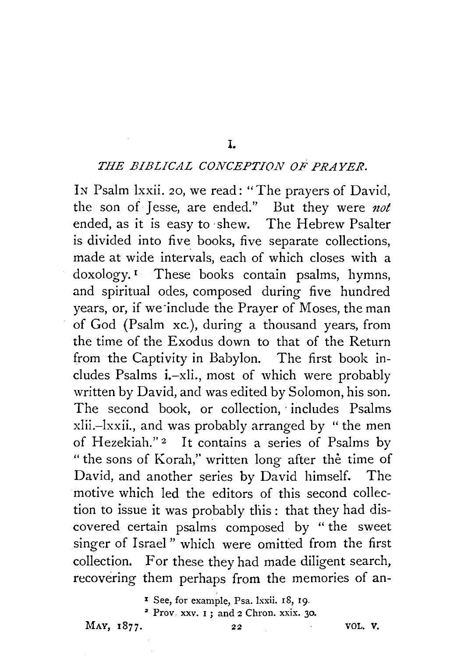## I. *THE BIBLICAL CONCEPTION OF PRAYER.*

IN Psalm lxxii. 20, we read: "The prayers of David, the son of Jesse, are ended." But they were *not* ended, as it is easy to shew. The Hebrew Psalter is divided into five books, five separate collections, made at wide intervals, each of which closes with a doxology.<sup>1</sup> These books contain psalms, hymns, and spiritual odes, composed during five hundred years, or, if we-include the Prayer of Moses, the man of God (Psalm xc. ), during a thousand years, from the time of the Exodus down to that of the Return from the Captivity in Babylon. The first book includes Psalms i.-xli., most of which were probably written by David, and was edited by Solomon, his son. The second book, or collection, includes Psalms xlii.-lxxii., and was probably arranged by "the men of Hezekiah."<sup>2</sup> It contains a series of Psalms by " the sons of Korah," written long after the time of David, and another series by David himself. The motive which led the editors of this second collection to issue it was probably this : that they had discovered certain psalms composed by " the sweet singer of Israel" which were omitted from the first collection. For these they had made diligent search, recovering them perhaps from the memories of an-

I See, for example, Psa. 1xxii. 18, 19.<br><sup>2</sup> Prov. xxv. 1; and 2 Chron. xxix. 30.

MAY, 1877. 22 VOL. V.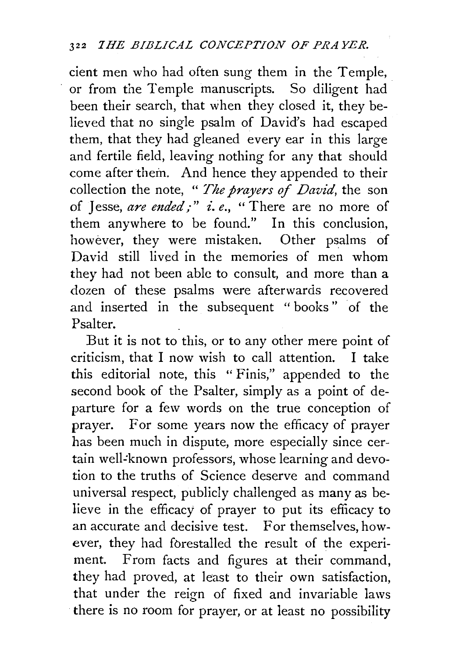cient men who had often sung them in the Temple, or from the Temple manuscripts. So diligent had been their search, that when they closed it, they believed that no single psalm of David's had escaped them, that they had gleaned every ear in this large and fertile field, leaving nothing for any that should come after them. And hence they appended to their collection the note, " *The prayers of David,* the son of Jesse, *are ended*;" *i.e.*, "There are no more of them anywhere to be found." In this conclusion, however, they were mistaken. Other psalms of David still lived in the memories of men whom they had not been able to consult, and more than a dozen of these psalms were afterwards recovered and inserted in the subsequent "books" of the Psalter.

But it is not to this, or to any other mere point of criticism, that I now wish to call attention. I take this editorial note, this " Finis," appended to the second book of the Psalter, simply as a point of *de*parture for a few words on the true conception of prayer. For some years now the efficacy of prayer has been much in dispute, more especially since certain well-known professors, whose learning and devotion to the truths of Science deserve and command universal respect, publicly challenged as many as believe in the efficacy of prayer to put its efficacy to an accurate and decisive test. For themselves, however, they had fbrestalled the result of the experiment. From facts and figures at their command, they had proved, at least to their own satisfaction, that under the reign of fixed and invariable laws there is no room for prayer, or at least no possibility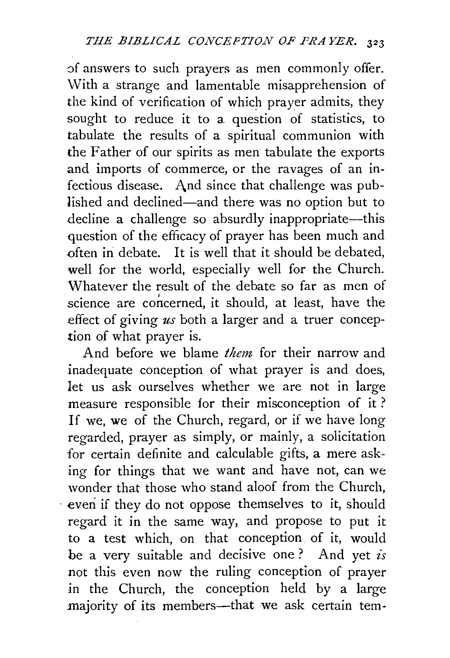of answers to such prayers as men commonly offer. With a strange and lamentable misapprehension of the kind of verification of which prayer admits, they sought to reduce it to a. question of statistics, to tabulate the results of a spiritual communion with the Father of our spirits as men tabulate the exports and imports of commerce, or the ravages of an infectious disease. And since that challenge was published and declined-and there was no option but to decline a challenge so absurdly inappropriate-this question of the efficacy of prayer has been much and often in debate. It is well that it should be debated, well for the world, especially well for the Church. Whatever the result of the debate so far as men of science are concerned, it should, at least, have the effect of giving *us* both a larger and a truer conception of what prayer is.

And before we blame *them* for their narrow and inadequate conception of what prayer is and does, let us ask ourselves whether we are not in large measure responsible for their misconception of it ? If we, we of the Church, regard, or if we have long regarded, prayer as simply, or mainly, a solicitation for certain definite and calculable gifts, a mere asking for things that we want and have not, can we wonder that those who stand aloof from the Church, . even if they do not oppose themselves to it, should regard it in the same way, and propose to put it to a test which, on that conception of it, would be a very suitable and decisive one? And yet *is* not this even now the ruling conception of prayer in the Church, the conception held by a large majority of its members-that we ask certain tem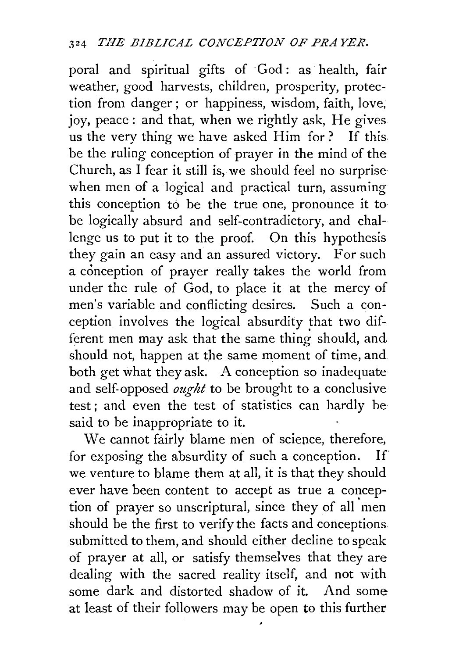poral and spiritual gifts of God: as health, fair weather, good harvests, children, prosperity, protection from danger ; or happiness, wisdom, faith, love; joy, peace: and that, when we rightly ask, He gives us the very thing we have asked Him for? If this. be the ruling conception of prayer in the mind of the Church, as I fear it still is, we should feel no surprise when men of a logical and practical turn, assuming this conception to be the true one, pronounce it to be logically absurd and self-contradictory, and challenge us to put it to the proof. On this hypothesis they gain an easy and an assured victory. For such a conception of prayer really takes the world from under the rule of God, to place it at the mercy of men's variable and conflicting desires. Such a conception involves the logical absurdity that two different men may ask that the same thing should, and should not, happen at the same moment of time, and. both get what they ask. A conception so inadequate and self-opposed *ought* to be brought to a conclusive test; and even the test of statistics can hardly be said to be inappropriate to it.

We cannot fairly blame men of science, therefore, for exposing the absurdity of such a conception. If we venture to blame them at all, it is that they should ever have been content to accept as true a conception of prayer so unscriptural, since they of all men should be the first to verify the facts and conceptions submitted to them, and should either decline to speak of prayer at all, or satisfy themselves that they are dealing with the sacred reality itself, and not with some dark and distorted shadow of it. And some at least of their followers may be open to this further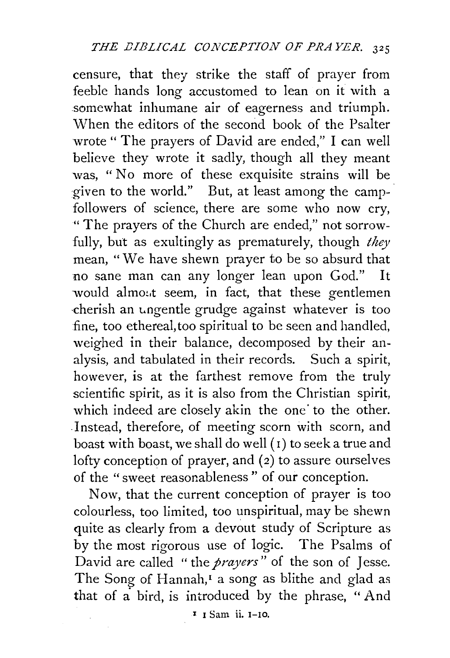censure, that they strike the staff of prayer from feeble hands long accustomed to lean on it with a somewhat inhumane air of eagerness and triumph. When the editors of the second book of the Psalter wrote " The prayers of David are ended," I can well believe they wrote it sadly, though all they meant was, "No more of these exquisite strains will be given to the world." But, at least among the camp-· followers of science, there are some who now cry, "The prayers of the Church are ended," not sorrowfully, but as exultingly as prematurely, though *they*  mean, "We have shewn prayer to be so absurd that no sane man can any longer lean upon God." It would almost seem, in fact, that these gentlemen cherish an ungentle grudge against whatever is too fine, too ethereal, too spiritual to be seen and handled, weighed in their balance, decomposed by their analysis, and tabulated in their records. Such a spirit, however, is at the farthest remove from the truly scientific spirit, as it is also from the Christian spirit, which indeed are closely akin the one to the other. Instead, therefore, of meeting scorn with scorn, and boast with boast, we shall do well  $(i)$  to seek a true and lofty conception of prayer, and (2) to assure ourselves of the "sweet reasonableness " of our conception.

Now, that the current conception of prayer is too colourless, too limited, too unspiritual, may be shewn quite as clearly from a devout study of Scripture as by the most rigorous use of 1ogic. The Psalms of David are called "the *prayers*" of the son of Jesse. The Song of Hannah, $<sup>I</sup>$  a song as blithe and glad as</sup> that of a bird, is introduced by the phrase, "And

I I Sam ii. r-ro.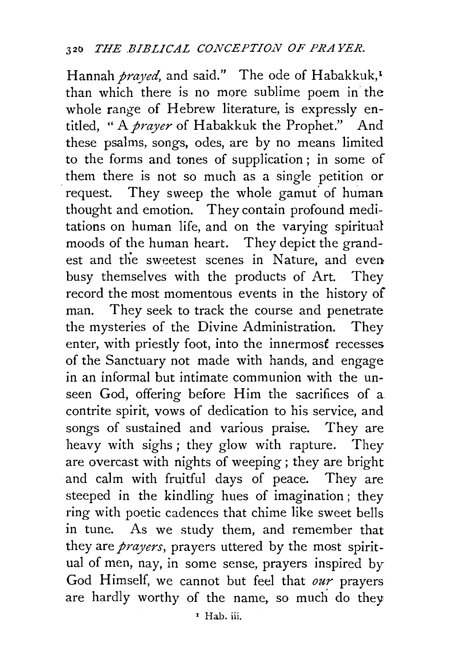Hannah *prayed*, and said." The ode of Habakkuk,<sup>1</sup> than which there is no more sublime poem in the whole range of Hebrew literature, is expressly entitled, " A *prayer* of Habakkuk the Prophet." And these psalms, songs, odes, are by no means limited to the forms and tones of supplication; in some of them there is not so much as a single petition or request. They sweep the whole gamut of human thought and emotion. They contain profound meditations on human life, and on the varying spiritual moods of the human heart. They depict the grandest and the sweetest scenes in Nature, and even busy themselves with the products of Art. They record the most momentous events in the history of man. They seek to track the course and penetrate the mysteries of the Divine Administration. They enter, with priestly foot, into the innermosf recesses of the Sanctuary not made with hands, and engage in an informal but intimate communion with the unseen God, offering before Him the sacrifices of a contrite spirit, vows of dedication to his service, and songs of sustained and various praise. They are heavy with sighs ; they glow with rapture. They are overcast with nights of weeping ; they are bright and calm with fruitful days of peace. They are steeped in the kindling hues of imagination ; they ring with poetic cadences that chime like sweet bells in tune. As we study them, and remember that they are *prayers,* prayers uttered by the most spiritual of men, nay, in some sense, prayers inspired by God Himself, we cannot but feel that *our* prayers are hardly worthy of the name, so much do they 'Hab. iii.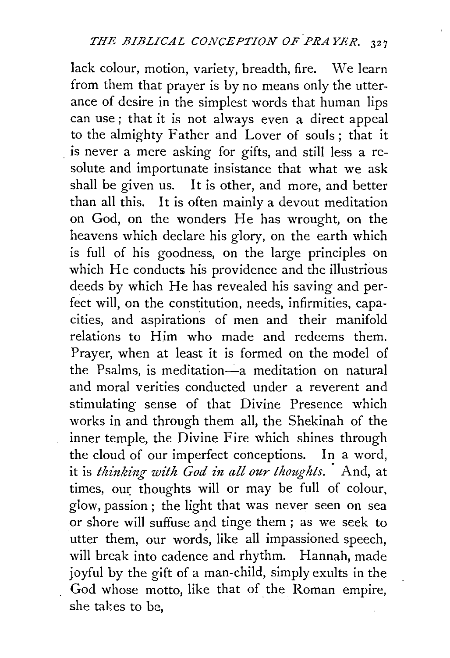lack colour, motion, variety, breadth, fire. We learn from them that prayer is by no means only the utterance of desire in the simplest words that human lips can use ; that it is not always even a direct appeal to the almighty Father and Lover of souls ; that it . is never a mere asking for gifts, and still less a resolute and importunate insistance that what we ask shall be given us. It is other, and more, and better than all this. It is often mainly a devout meditation on God, on the wonders He has wrought, on the heavens which declare his glory, on the earth which is full of his goodness, on the large principles on which He conducts his providence and the illustrious deeds by which He has revealed his saving and perfect will, on the constitution, needs, infirmities, capacities, and aspirations of men and their manifold relations to Him who made and redeems them. Prayer, when at least it is formed on the model of the Psalms, is meditation-a meditation on natural and moral verities conducted under a reverent and stimulating sense of that Divine Presence which works in and through them all, the Shekinah of the inner temple, the Divine Fire which shines through the cloud of our imperfect conceptions. In a word, it is *thinking with God in all our thoughts.* And, at times, our thoughts will or may be full of colour, glow, passion ; the light that was never seen on sea or shore will suffuse and tinge them; as we seek to utter them, our words, like all impassioned speech, will break into cadence and rhythm. Hannah, made joyful by the gift of a man-child, simply exults in the God whose motto, like that of the Roman empire, she takes to be,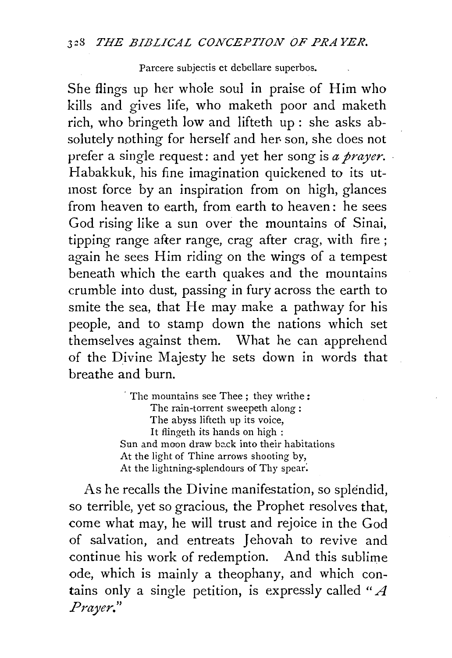Parcere subjectis et debellare superbos.

She flings up her whole soul in praise of Him who kills and gives life, who maketh poor and maketh rich, who bringeth low and lifteth up : she asks absolutely nothing for herself and her son, she does not prefer a single request: and yet her song is *a prayer.*  Habakkuk, his fine imagination quickened to its utmost force by an inspiration from on high, glances from heaven to earth, from earth to heaven: he sees God rising like a sun over the mountains of Sinai, tipping range after range, crag after crag, with fire; again he sees Him riding on the wings of a tempest beneath which the earth quakes and the mountains crumble into dust, passing in fury across the earth to smite the sea, that He may make a pathway for his people, and to stamp down the nations which set themselves against them. What he can apprehend of the Divine Majesty he sets down in words that breathe and burn.

> The mountains see Thee; they writhe: The rain-torrent sweepeth along : The abyss lifteth up its voice, It flingeth its hands on high : Sun and moon draw back into their habitations At the light of Thine arrows shooting by, At the lightning-splendours of Thy spear:

As he recalls the Divine manifestation, so splendid, so terrible, yet so gracious, the Prophet resolves that, come what may, he will trust and rejoice in the God of salvation, and entreats Jehovah to revive and continue his work of redemption. And this sublime ode, which is mainly a theophany, and which contains only a single petition, is expressly called " $\Lambda$ *P ray er.* "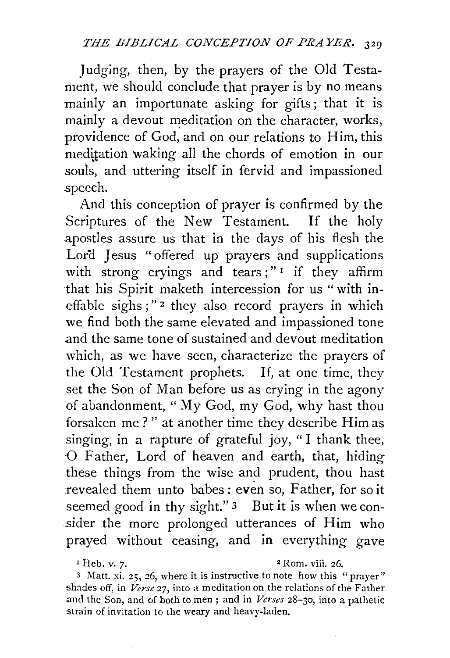Judging, then, by the prayers of the Old Testament, we should conclude that prayer is by no means mainly an importunate asking for gifts; that it is mainly a devout meditation on the character, works, providence of God, and on our relations to Him, this meditation waking all the chords of emotion in our souls, and uttering itself in fervid and impassioned speech.

And this conception of prayer is confirmed by the Scriptures of the New Testament. If the holy apostles assure us that in the days of his flesh the Lord Jesus "offered up prayers and supplications with strong cryings and tears;" $\frac{1}{1}$  if they affirm that his Spirit maketh intercession for us "with ineffable sighs;"<sup>2</sup> they also record prayers in which we find both the same elevated and impassioned tone and the same tone of sustained and devout meditation which, as we have seen, characterize the prayers of the Old Testament prophets. If, at one time, they set the Son of Man before us as crying in the agony of abandonment, " My God, my God, why hast thou forsaken me ? " at another time they describe Him as singing, in a rapture of grateful joy, " I thank thee, 0 Father, Lord of heaven and earth, that, hiding these things from the wise and prudent, thou hast revealed them unto babes: even so, Father, for so it seemed good in thy sight." 3 But it is when we consider the more prolonged utterances of Him who prayed without ceasing, and in everything gave

3 Matt. xi. 25, 26, where it is instructive to note how this "prayer" -shades off, in *Verse* 27, into a meditation on the relations of the Father .and the Son, and of both to men ; and in *Verses* 28-30, into a pathetic -strain of invitation to the weary and heavy-laden.

 $P<sup>I</sup>$  Heb. v. 7.  $P<sup>2</sup>$  Rom. viii. 26.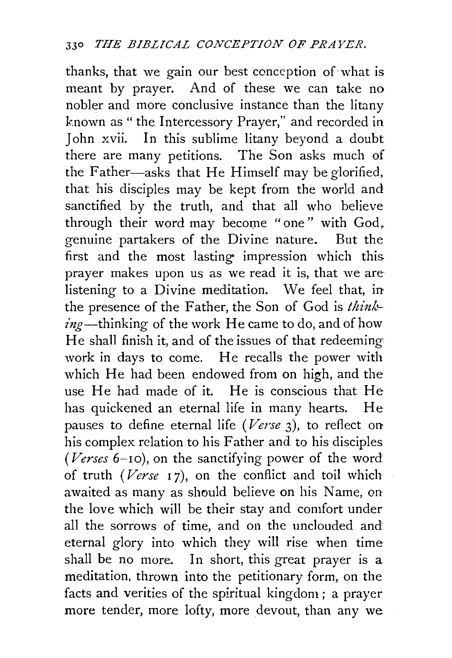thanks, that we gain our best conception of· what is meant by prayer. And of these we can take no nobler and more conclusive instance than the litany known as " the Intercessory Prayer," and recorded in John xvii. In this sublime litany beyond a doubt there are many petitions. The Son asks much of the Father-asks that He Himself may be glorified, that his disciples may be kept from the world and sanctified by the truth, and that all who believe through their word may become "one" with God, genuine partakers of the Divine nature. But the first and the most lasting impression which this. prayer makes upon us as we read it is, that we are listening to a Divine meditation. We feel that, in the presence of the Father, the Son of God is *think* $ing$ —thinking of the work He came to do, and of how He shall finish it, and of the issues of that redeeming work in days to come. He recalls the power with which He had been endowed from on high, and the use He had made of it. He is conscious that He has quickened an eternal life in many hearts. He pauses to define eternal life *(Verse* 3), to reflect on his complex relation to his Father and to his disciples ( $Verses 6-10$ ), on the sanctifying power of the word of truth *(Verse* 1 7), on the conflict and toil which awaited as many as should believe on his Name, on the love which will be their stay and comfort under all the sorrows of time, and on the unclouded and eternal glory into which they will rise when time shall be no more. In short, this great prayer is a meditation, thrown into the petitionary form, on the facts and verities of the spiritual kingdom ; a prayer more tender, more lofty, more devout, than any we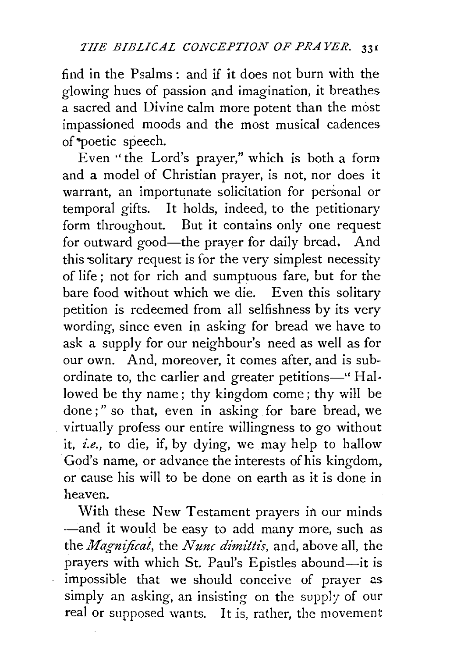find in the Psalms: and if it does not burn with the glowing hues of passion and imagination, it breathes a sacred and Divine calm more potent than the most impassioned moods and the most musical cadences of \*poetic speech.

Even ''the Lord's prayer," which is both a form and a model of Christian prayer, is not, nor does it warrant, an importunate solicitation for personal or temporal gifts. It holds, indeed, to the petitionary form throughout. But it contains only one request for outward good-the prayer for daily bread. And this solitary request is for the very simplest necessity of life ; not for rich and sumptuous fare, but for the bare food without which we die. Even this solitary petition is redeemed from all selfishness by its very wording, since even in asking for bread we have to ask a supply for our neighbour's need as well as for our own. And, moreover, it comes after, and is subordinate to, the earlier and greater petitions-" Hallowed be thy name; thy kingdom come; thy will be done;" so that, even in asking for bare bread, we virtually profess our entire willingness to go without it, *i.e.,* to die, if, by dying, we may help to hallow God's name, or advance the interests of his kingdom, or cause his will to be done on earth as it is done in heaven.

With these New Testament prayers in our minds -and it would be easy to add many more, such as the *Magnijicat,* the *Nunc dimittis,* and, above all, the prayers with which St. Paul's Epistles abound-it is impossible that we should conceive of prayer as simply an asking, an insisting on the supply of our real or supposed wants. It is, rather, the movement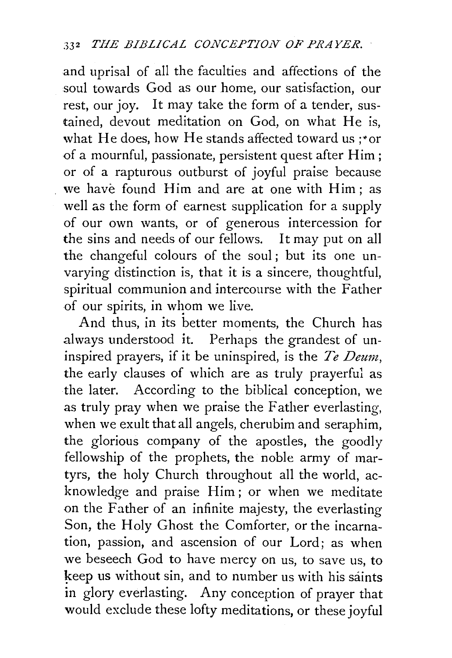and uprisal of all the faculties and affections of the soul towards God as our home, our satisfaction, our rest, our joy. It may take the form of a tender, sustained, devout meditation on God, on what He is, what He does, how He stands affected toward us ;"or of a mournful, passionate, persistent quest after Him; or of a rapturous outburst of joyful praise because we have found Him and are at one with Him; as well as the form of earnest supplication for a supply of our own wants, or of generous intercession for the sins and needs of our fellows. It may put on all the changeful colours of the soul ; but its one unvarying distinction is, that it is a sincere, thoughtful, spiritual communion and intercourse with the Father of our spirits, in whom we live.

And thus, in its better moments, the Church has always understood it. Perhaps the grandest of uninspired prayers, if it be uninspired, is the *Te Deum,*  the early clauses of which are as truly prayerful as the later. According to the biblical conception, we as truly pray when we praise the Father everlasting, when we exult that all angels, cherubim and seraphim, the glorious company of the apostles, the goodly fellowship of the prophets, the noble army of martyrs, the holy Church throughout all the world, acknowledge and praise Him; or when we meditate on the Father of an infinite majesty, the everlasting Son, the Holy Ghost the Comforter, or the incarnation, passion, and ascension of our Lord; as when we beseech God to have mercy on us, to save us, to keep us without sin, and to number us with his saints in glory everlasting. Any conception of prayer that would exclude these lofty meditations, or these joyful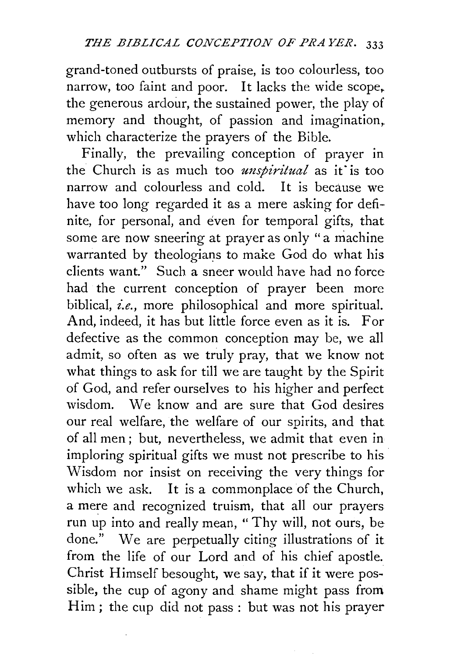grand-toned outbursts of praise, is too colourless, too narrow, too faint and poor. It lacks the wide scope. the generous ardour, the sustained power, the play of memory and thought, of passion and imagination, which characterize the prayers of the Bible.

Finally, the prevailing conception of prayer in the Church is as much too *unspiritual* as it is too narrow and colourless and cold. It is because we have too long regarded it as a mere asking for definite, for personal, and even for temporal gifts, that some are now sneering at prayer as only "a machine warranted by theologians to make God do what his clients want." Such a sneer would have had no force had the current conception of prayer been more biblical, *i.e.,* more philosophical and more spiritual. And, indeed, it has but little force even as it is. For defective as the common conception may be, we all admit, so often as we truly pray, that we know not what things to ask for till we are taught by the Spirit of God, and refer ourselves to his higher and perfect wisdom. We know and are sure that God desires our real welfare, the welfare of our spirits, and that of all men ; but, nevertheless, we admit that even in imploring spiritual gifts we must not prescribe to his Wisdom nor insist on receiving the very things for which we ask. It is a commonplace of the Church, a mere and recognized truism, that all our prayers run up into and really mean, " Thy will, not ours, be done." We are perpetually citing illustrations of it from the life of our Lord and of his chief apostle. Christ Himself besought, we say, that if it were pos~ sible, the cup of agony and shame might pass from Him; the cup did not pass: but was not his prayer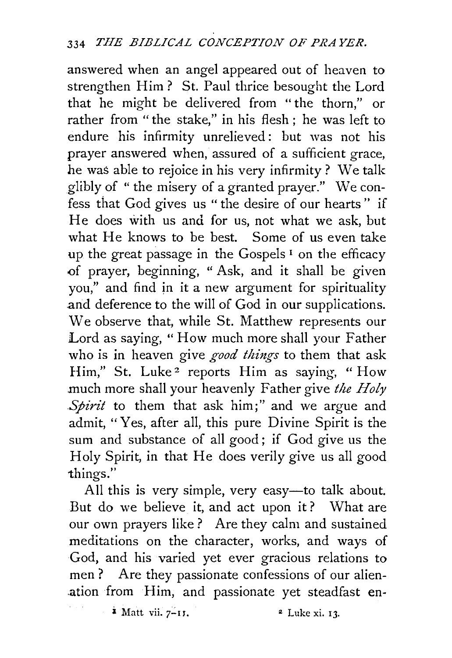answered when an angel appeared out of heaven to strengthen Him? St. Paul thrice besought the Lord that he might be delivered from "the thorn," or rather from "the stake," in his flesh ; he was left to endure his infirmity unrelieved: but was not his prayer answered when, assured of a sufficient grace, he was able to rejoice in his very infirmity ? We talk glibly of "the misery of a granted prayer." We confess that God gives us "the desire of our hearts" if He does with us and for us, not what we ask, but what He knows to be best. Some of us even take up the great passage in the Gospels<sup>1</sup> on the efficacy of prayer, beginning, " Ask, and it shall be given you," and find in it a new argument for spirituality and deference to the will of God in our supplications. We observe that, while St. Matthew represents our Lord as saying, "How much more shall your Father who is in heaven give *good things* to them that ask Him," St. Luke<sup>2</sup> reports Him as saying, "How .much more shall your heavenly Father give *the Holy Spirit* to them that ask him;" and we argue and admit, "Yes, after all, this pure Divine Spirit is the sum and substance of all good; if God give us the Holy Spirit, in that He does verily give us all good things."

All this is very simple, very easy—to talk about. But do we believe it, and act upon it ? What are our own prayers like ? Are they calm and sustained meditations on the character, works, and ways of God, and his varied yet ever gracious relations to men? Are they passionate confessions of our alienation from Him, and passionate yet steadfast en-

*i* Matt vii. 7-11. <sup>2</sup> Luke xi. 13.